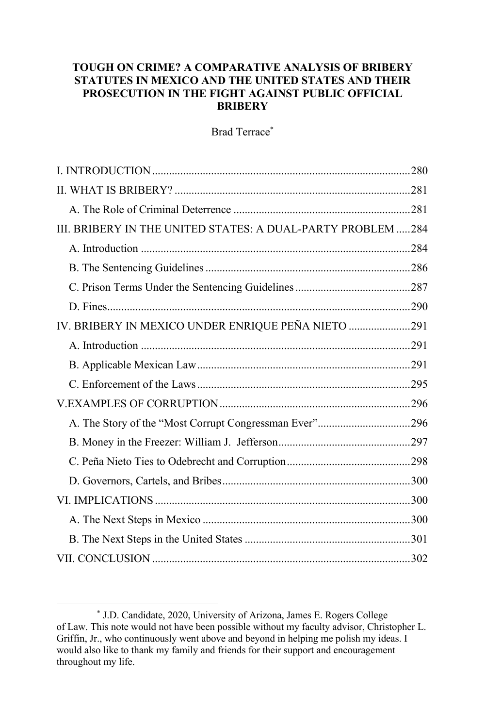# **TOUGH ON CRIME? A COMPARATIVE ANALYSIS OF BRIBERY STATUTES IN MEXICO AND THE UNITED STATES AND THEIR PROSECUTION IN THE FIGHT AGAINST PUBLIC OFFICIAL BRIBERY**

Brad Terrace\*

| III. BRIBERY IN THE UNITED STATES: A DUAL-PARTY PROBLEM284 |  |
|------------------------------------------------------------|--|
|                                                            |  |
|                                                            |  |
|                                                            |  |
|                                                            |  |
| IV. BRIBERY IN MEXICO UNDER ENRIQUE PEÑA NIETO 291         |  |
|                                                            |  |
|                                                            |  |
|                                                            |  |
|                                                            |  |
|                                                            |  |
|                                                            |  |
|                                                            |  |
|                                                            |  |
|                                                            |  |
|                                                            |  |
|                                                            |  |
|                                                            |  |
|                                                            |  |

<sup>\*</sup> J.D. Candidate, 2020, University of Arizona, James E. Rogers College of Law. This note would not have been possible without my faculty advisor, Christopher L. Griffin, Jr., who continuously went above and beyond in helping me polish my ideas. I would also like to thank my family and friends for their support and encouragement throughout my life.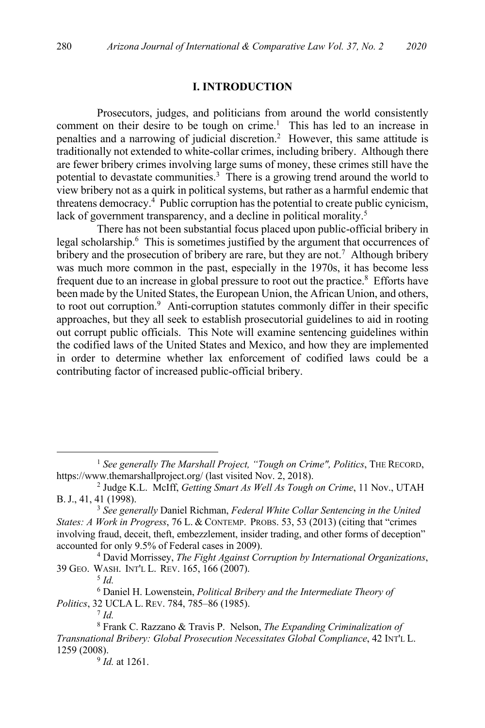#### **I. INTRODUCTION**

Prosecutors, judges, and politicians from around the world consistently comment on their desire to be tough on crime.<sup>1</sup> This has led to an increase in penalties and a narrowing of judicial discretion.<sup>2</sup> However, this same attitude is traditionally not extended to white-collar crimes, including bribery. Although there are fewer bribery crimes involving large sums of money, these crimes still have the potential to devastate communities.<sup>3</sup> There is a growing trend around the world to view bribery not as a quirk in political systems, but rather as a harmful endemic that threatens democracy.4 Public corruption has the potential to create public cynicism, lack of government transparency, and a decline in political morality.<sup>5</sup>

There has not been substantial focus placed upon public-official bribery in legal scholarship.6 This is sometimes justified by the argument that occurrences of bribery and the prosecution of bribery are rare, but they are not.<sup>7</sup> Although bribery was much more common in the past, especially in the 1970s, it has become less frequent due to an increase in global pressure to root out the practice.<sup>8</sup> Efforts have been made by the United States, the European Union, the African Union, and others, to root out corruption.<sup>9</sup> Anti-corruption statutes commonly differ in their specific approaches, but they all seek to establish prosecutorial guidelines to aid in rooting out corrupt public officials. This Note will examine sentencing guidelines within the codified laws of the United States and Mexico, and how they are implemented in order to determine whether lax enforcement of codified laws could be a contributing factor of increased public-official bribery.

<sup>9</sup> *Id.* at 1261.

<sup>1</sup> *See generally The Marshall Project, "Tough on Crime", Politics*, THE RECORD, https://www.themarshallproject.org/ (last visited Nov. 2, 2018).

<sup>2</sup> Judge K.L. McIff, *Getting Smart As Well As Tough on Crime*, 11 Nov., UTAH B.J., 41, 41 (1998).

<sup>3</sup> *See generally* Daniel Richman, *Federal White Collar Sentencing in the United States: A Work in Progress*, 76 L. & CONTEMP. PROBS. 53, 53 (2013) (citing that "crimes involving fraud, deceit, theft, embezzlement, insider trading, and other forms of deception" accounted for only 9.5% of Federal cases in 2009).

<sup>4</sup> David Morrissey, *The Fight Against Corruption by International Organizations*, 39 GEO. WASH. INT'L L. REV. 165, 166 (2007).

<sup>5</sup> *Id.*

<sup>6</sup> Daniel H. Lowenstein, *Political Bribery and the Intermediate Theory of Politics*, 32 UCLA L. REV. 784, 785–86 (1985).

<sup>7</sup> *Id.*

<sup>8</sup> Frank C. Razzano & Travis P. Nelson, *The Expanding Criminalization of Transnational Bribery: Global Prosecution Necessitates Global Compliance*, 42 INT'L L. 1259 (2008).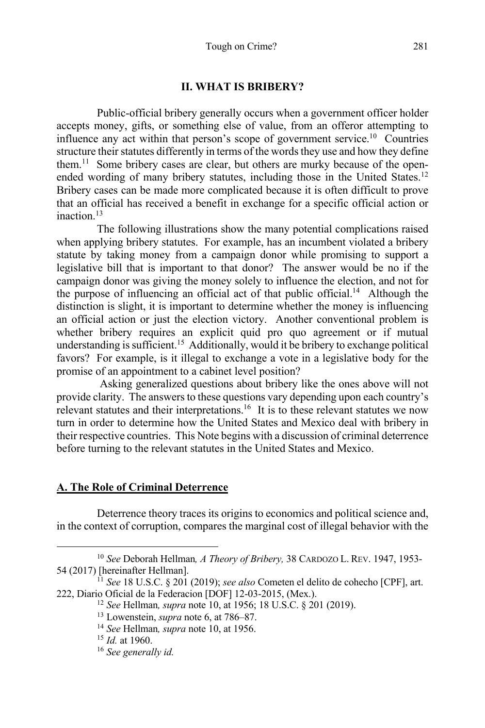#### **II. WHAT IS BRIBERY?**

Public-official bribery generally occurs when a government officer holder accepts money, gifts, or something else of value, from an offeror attempting to influence any act within that person's scope of government service. 10 Countries structure their statutes differently in terms of the words they use and how they define them.<sup>11</sup> Some bribery cases are clear, but others are murky because of the openended wording of many bribery statutes, including those in the United States.<sup>12</sup> Bribery cases can be made more complicated because it is often difficult to prove that an official has received a benefit in exchange for a specific official action or  $inaction<sup>13</sup>$ 

The following illustrations show the many potential complications raised when applying bribery statutes. For example, has an incumbent violated a bribery statute by taking money from a campaign donor while promising to support a legislative bill that is important to that donor? The answer would be no if the campaign donor was giving the money solely to influence the election, and not for the purpose of influencing an official act of that public official.14 Although the distinction is slight, it is important to determine whether the money is influencing an official action or just the election victory. Another conventional problem is whether bribery requires an explicit quid pro quo agreement or if mutual understanding is sufficient.15 Additionally, would it be bribery to exchange political favors? For example, is it illegal to exchange a vote in a legislative body for the promise of an appointment to a cabinet level position?

Asking generalized questions about bribery like the ones above will not provide clarity. The answers to these questions vary depending upon each country's relevant statutes and their interpretations.<sup>16</sup> It is to these relevant statutes we now turn in order to determine how the United States and Mexico deal with bribery in their respective countries. This Note begins with a discussion of criminal deterrence before turning to the relevant statutes in the United States and Mexico.

#### **A. The Role of Criminal Deterrence**

Deterrence theory traces its origins to economics and political science and, in the context of corruption, compares the marginal cost of illegal behavior with the

<sup>&</sup>lt;sup>10</sup> *See* Deborah Hellman, *A Theory of Bribery*, 38 CARDOZO L. REV. 1947, 1953-54 (2017) [hereinafter Hellman].

<sup>&</sup>lt;sup>11</sup> See 18 U.S.C. § 201 (2019); *see also* Cometen el delito de cohecho [CPF], art. 222, Diario Oficial de la Federacion [DOF] 12-03-2015, (Mex.).

<sup>&</sup>lt;sup>12</sup> See Hellman, *supra* note 10, at 1956; 18 U.S.C. § 201 (2019). <sup>13</sup> Lowenstein, *supra* note 6, at 786–87.

<sup>14</sup> *See* Hellman*, supra* note 10, at 1956. 15 *Id.* at 1960.

<sup>16</sup> *See generally id.*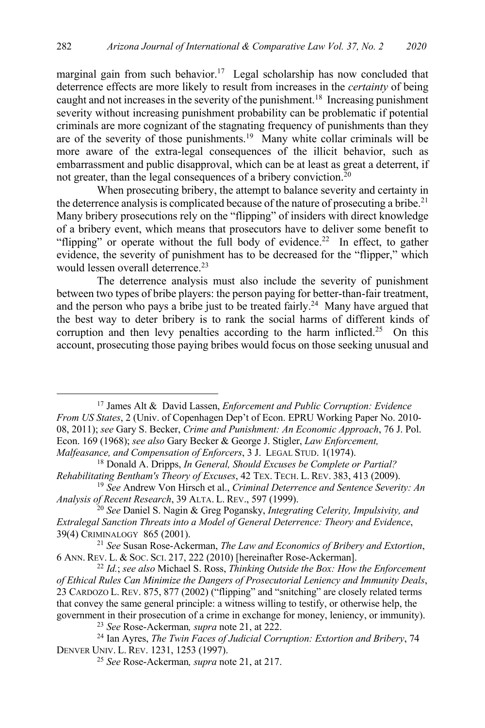marginal gain from such behavior.<sup>17</sup> Legal scholarship has now concluded that deterrence effects are more likely to result from increases in the *certainty* of being caught and not increases in the severity of the punishment.<sup>18</sup> Increasing punishment severity without increasing punishment probability can be problematic if potential criminals are more cognizant of the stagnating frequency of punishments than they are of the severity of those punishments.<sup>19</sup> Many white collar criminals will be more aware of the extra-legal consequences of the illicit behavior, such as embarrassment and public disapproval, which can be at least as great a deterrent, if not greater, than the legal consequences of a bribery conviction.<sup>20</sup>

When prosecuting bribery, the attempt to balance severity and certainty in the deterrence analysis is complicated because of the nature of prosecuting a bribe.<sup>21</sup> Many bribery prosecutions rely on the "flipping" of insiders with direct knowledge of a bribery event, which means that prosecutors have to deliver some benefit to "flipping" or operate without the full body of evidence.<sup>22</sup> In effect, to gather evidence, the severity of punishment has to be decreased for the "flipper," which would lessen overall deterrence.<sup>23</sup>

The deterrence analysis must also include the severity of punishment between two types of bribe players: the person paying for better-than-fair treatment, and the person who pays a bribe just to be treated fairly.<sup>24</sup> Many have argued that the best way to deter bribery is to rank the social harms of different kinds of corruption and then levy penalties according to the harm inflicted.<sup>25</sup> On this account, prosecuting those paying bribes would focus on those seeking unusual and

<sup>17</sup> James Alt & David Lassen, *Enforcement and Public Corruption: Evidence From US States*, 2 (Univ. of Copenhagen Dep't of Econ. EPRU Working Paper No. 2010- 08, 2011); *see* Gary S. Becker, *Crime and Punishment: An Economic Approach*, 76 J. Pol. Econ. 169 (1968); *see also* Gary Becker & George J. Stigler, *Law Enforcement, Malfeasance, and Compensation of Enforcers*, 3 J. LEGAL STUD. 1(1974).

<sup>18</sup> Donald A. Dripps, *In General, Should Excuses be Complete or Partial? Rehabilitating Bentham's Theory of Excuses*, 42 TEX. TECH. L. REV. 383, 413 (2009).

<sup>19</sup> *See* Andrew Von Hirsch et al., *Criminal Deterrence and Sentence Severity: An Analysis of Recent Research*, 39 ALTA. L. REV., 597 (1999).

<sup>20</sup> *See* Daniel S. Nagin & Greg Pogansky, *Integrating Celerity, Impulsivity, and Extralegal Sanction Threats into a Model of General Deterrence: Theory and Evidence*, 39(4) CRIMINALOGY 865 (2001).

<sup>21</sup> *See* Susan Rose-Ackerman, *The Law and Economics of Bribery and Extortion*, 6 ANN. REV. L. & SOC. SCI. 217, 222 (2010) [hereinafter Rose-Ackerman].

<sup>22</sup> *Id.*; *see also* Michael S. Ross, *Thinking Outside the Box: How the Enforcement of Ethical Rules Can Minimize the Dangers of Prosecutorial Leniency and Immunity Deals*, 23 CARDOZO L. REV. 875, 877 (2002) ("flipping" and "snitching" are closely related terms that convey the same general principle: a witness willing to testify, or otherwise help, the government in their prosecution of a crime in exchange for money, leniency, or immunity).

<sup>23</sup> *See* Rose-Ackerman*, supra* note 21, at 222.

<sup>24</sup> Ian Ayres, *The Twin Faces of Judicial Corruption: Extortion and Bribery*, 74 DENVER UNIV. L. REV. 1231, 1253 (1997).

<sup>25</sup> *See* Rose-Ackerman*, supra* note 21, at 217.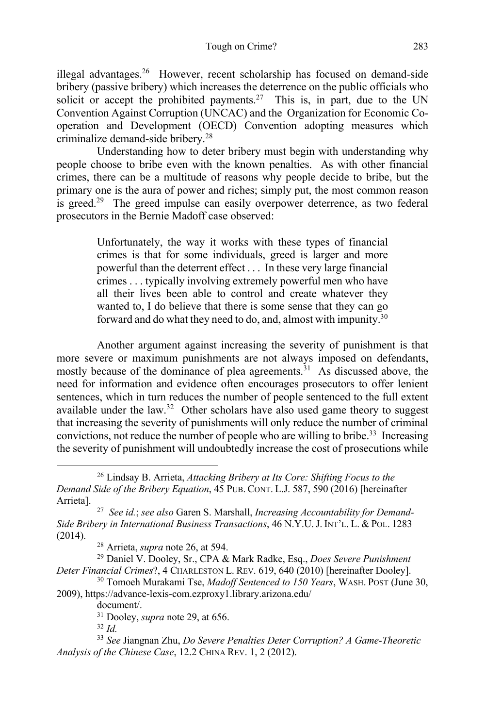illegal advantages.26 However, recent scholarship has focused on demand-side bribery (passive bribery) which increases the deterrence on the public officials who solicit or accept the prohibited payments.<sup>27</sup> This is, in part, due to the UN Convention Against Corruption (UNCAC) and the Organization for Economic Cooperation and Development (OECD) Convention adopting measures which criminalize demand-side bribery.28

Understanding how to deter bribery must begin with understanding why people choose to bribe even with the known penalties. As with other financial crimes, there can be a multitude of reasons why people decide to bribe, but the primary one is the aura of power and riches; simply put, the most common reason is greed.<sup>29</sup> The greed impulse can easily overpower deterrence, as two federal prosecutors in the Bernie Madoff case observed:

> Unfortunately, the way it works with these types of financial crimes is that for some individuals, greed is larger and more powerful than the deterrent effect . . . In these very large financial crimes . . . typically involving extremely powerful men who have all their lives been able to control and create whatever they wanted to, I do believe that there is some sense that they can go forward and do what they need to do, and, almost with impunity.<sup>30</sup>

Another argument against increasing the severity of punishment is that more severe or maximum punishments are not always imposed on defendants, mostly because of the dominance of plea agreements.<sup>31</sup> As discussed above, the need for information and evidence often encourages prosecutors to offer lenient sentences, which in turn reduces the number of people sentenced to the full extent available under the law.<sup>32</sup> Other scholars have also used game theory to suggest that increasing the severity of punishments will only reduce the number of criminal convictions, not reduce the number of people who are willing to bribe.33 Increasing the severity of punishment will undoubtedly increase the cost of prosecutions while

<sup>26</sup> Lindsay B. Arrieta, *Attacking Bribery at Its Core: Shifting Focus to the Demand Side of the Bribery Equation*, 45 PUB. CONT. L.J. 587, 590 (2016) [hereinafter Arrieta].

<sup>27</sup> *See id.*; *see also* Garen S. Marshall, *Increasing Accountability for Demand-Side Bribery in International Business Transactions*, 46 N.Y.U.J. INT'L. L. & POL. 1283 (2014). 28 Arrieta, *supra* note 26, at 594.

<sup>29</sup> Daniel V. Dooley, Sr., CPA & Mark Radke, Esq., *Does Severe Punishment Deter Financial Crimes*?, 4 CHARLESTON L. REV. 619, 640 (2010) [hereinafter Dooley].

<sup>30</sup> Tomoeh Murakami Tse, *Madoff Sentenced to 150 Years*, WASH. POST (June 30, 2009), https://advance-lexis-com.ezproxy1.library.arizona.edu/

document/.

 $31 \text{ Dooley}$ , *supra* note 29, at 656.<br> $32 \text{ Id}$ 

<sup>32</sup> *Id.* 33 *See* Jiangnan Zhu, *Do Severe Penalties Deter Corruption? A Game-Theoretic Analysis of the Chinese Case*, 12.2 CHINA REV. 1, 2 (2012).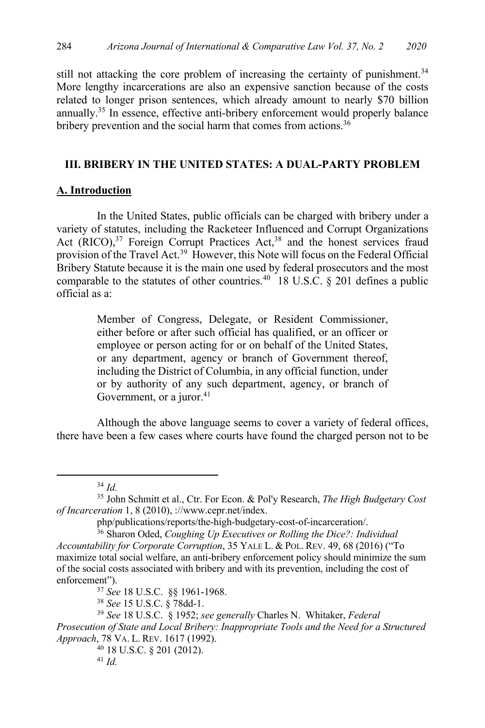still not attacking the core problem of increasing the certainty of punishment.<sup>34</sup> More lengthy incarcerations are also an expensive sanction because of the costs related to longer prison sentences, which already amount to nearly \$70 billion annually.35 In essence, effective anti-bribery enforcement would properly balance bribery prevention and the social harm that comes from actions.<sup>36</sup>

# **III. BRIBERY IN THE UNITED STATES: A DUAL-PARTY PROBLEM**

### **A. Introduction**

In the United States, public officials can be charged with bribery under a variety of statutes, including the Racketeer Influenced and Corrupt Organizations Act (RICO),<sup>37</sup> Foreign Corrupt Practices Act,<sup>38</sup> and the honest services fraud provision of the Travel Act.<sup>39</sup> However, this Note will focus on the Federal Official Bribery Statute because it is the main one used by federal prosecutors and the most comparable to the statutes of other countries.<sup>40</sup> 18 U.S.C. § 201 defines a public official as a:

> Member of Congress, Delegate, or Resident Commissioner, either before or after such official has qualified, or an officer or employee or person acting for or on behalf of the United States, or any department, agency or branch of Government thereof, including the District of Columbia, in any official function, under or by authority of any such department, agency, or branch of Government, or a juror. $41$

Although the above language seems to cover a variety of federal offices, there have been a few cases where courts have found the charged person not to be

<sup>37</sup> *See* 18 U.S.C. §§ 1961-1968.

<sup>38</sup> *See* 15 U.S.C. § 78dd-1.

<sup>40</sup> 18 U.S.C. § 201 (2012).

<sup>34</sup> *Id.*

<sup>35</sup> John Schmitt et al., Ctr. For Econ. & Pol'y Research, *The High Budgetary Cost of Incarceration* 1, 8 (2010), ://www.cepr.net/index.

php/publications/reports/the-high-budgetary-cost-of-incarceration/.

<sup>36</sup> Sharon Oded, *Coughing Up Executives or Rolling the Dice?: Individual Accountability for Corporate Corruption*, 35 YALE L. & POL. REV. 49, 68 (2016) ("To maximize total social welfare, an anti-bribery enforcement policy should minimize the sum of the social costs associated with bribery and with its prevention, including the cost of enforcement").

<sup>39</sup> *See* 18 U.S.C. § 1952; *see generally* Charles N. Whitaker, *Federal Prosecution of State and Local Bribery: Inappropriate Tools and the Need for a Structured Approach*, 78 VA. L. REV. 1617 (1992).

<sup>41</sup> *Id.*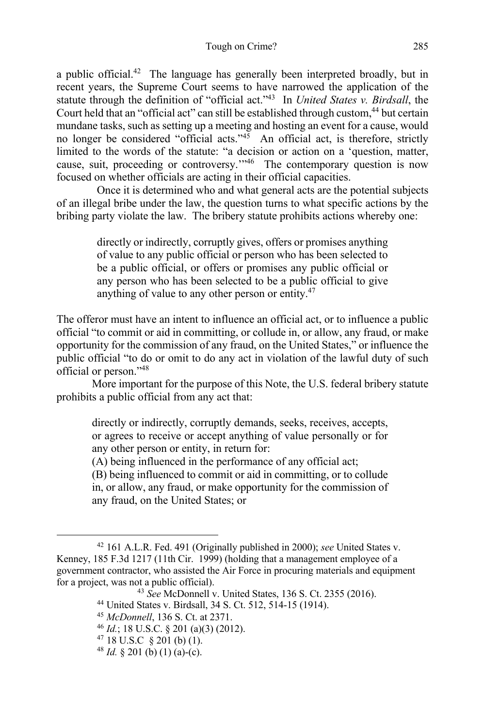a public official.<sup>42</sup> The language has generally been interpreted broadly, but in recent years, the Supreme Court seems to have narrowed the application of the statute through the definition of "official act."43 In *United States v. Birdsall*, the Court held that an "official act" can still be established through custom,<sup>44</sup> but certain mundane tasks, such as setting up a meeting and hosting an event for a cause, would no longer be considered "official acts."<sup>45</sup> An official act, is therefore, strictly limited to the words of the statute: "a decision or action on a 'question, matter, cause, suit, proceeding or controversy."<sup>46</sup> The contemporary question is now focused on whether officials are acting in their official capacities.

Once it is determined who and what general acts are the potential subjects of an illegal bribe under the law, the question turns to what specific actions by the bribing party violate the law. The bribery statute prohibits actions whereby one:

> directly or indirectly, corruptly gives, offers or promises anything of value to any public official or person who has been selected to be a public official, or offers or promises any public official or any person who has been selected to be a public official to give anything of value to any other person or entity.47

The offeror must have an intent to influence an official act, or to influence a public official "to commit or aid in committing, or collude in, or allow, any fraud, or make opportunity for the commission of any fraud, on the United States," or influence the public official "to do or omit to do any act in violation of the lawful duty of such official or person."48

More important for the purpose of this Note, the U.S. federal bribery statute prohibits a public official from any act that:

directly or indirectly, corruptly demands, seeks, receives, accepts, or agrees to receive or accept anything of value personally or for any other person or entity, in return for:

(A) being influenced in the performance of any official act;

(B) being influenced to commit or aid in committing, or to collude in, or allow, any fraud, or make opportunity for the commission of any fraud, on the United States; or

<sup>42</sup> 161 A.L.R. Fed. 491 (Originally published in 2000); *see* United States v. Kenney, 185 F.3d 1217 (11th Cir. 1999) (holding that a management employee of a government contractor, who assisted the Air Force in procuring materials and equipment for a project, was not a public official).

<sup>43</sup> *See* McDonnell v. United States, 136 S. Ct. 2355 (2016).

<sup>44</sup> United States v. Birdsall, 34 S. Ct. 512, 514-15 (1914).

<sup>45</sup> *McDonnell*, 136 S. Ct. at 2371.

<sup>46</sup> *Id.*; 18 U.S.C. § 201 (a)(3) (2012).

<sup>&</sup>lt;sup>47</sup> 18 U.S.C  $\frac{6}{5}$  201 (b) (1).<br><sup>48</sup> *Id.* § 201 (b) (1) (a)-(c).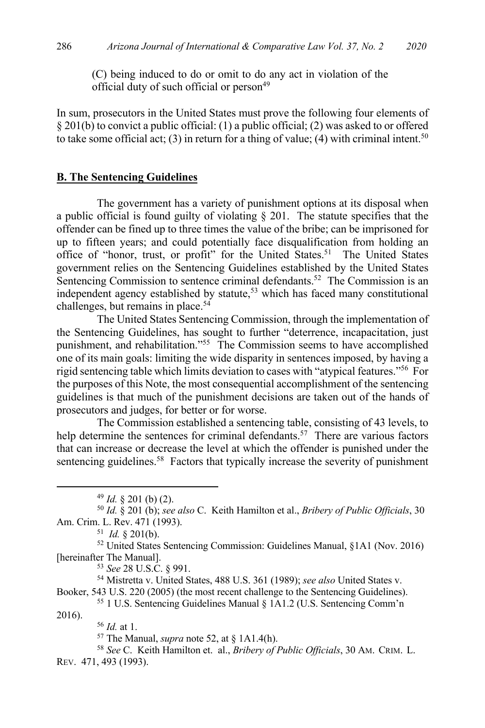(C) being induced to do or omit to do any act in violation of the official duty of such official or person<sup>49</sup>

In sum, prosecutors in the United States must prove the following four elements of § 201(b) to convict a public official: (1) a public official; (2) was asked to or offered to take some official act; (3) in return for a thing of value; (4) with criminal intent.<sup>50</sup>

#### **B. The Sentencing Guidelines**

The government has a variety of punishment options at its disposal when a public official is found guilty of violating  $\S$  201. The statute specifies that the offender can be fined up to three times the value of the bribe; can be imprisoned for up to fifteen years; and could potentially face disqualification from holding an office of "honor, trust, or profit" for the United States.<sup>51</sup> The United States government relies on the Sentencing Guidelines established by the United States Sentencing Commission to sentence criminal defendants.<sup>52</sup> The Commission is an independent agency established by statute,<sup>53</sup> which has faced many constitutional challenges, but remains in place.<sup>54</sup>

The United States Sentencing Commission, through the implementation of the Sentencing Guidelines, has sought to further "deterrence, incapacitation, just punishment, and rehabilitation."55 The Commission seems to have accomplished one of its main goals: limiting the wide disparity in sentences imposed, by having a rigid sentencing table which limits deviation to cases with "atypical features."56 For the purposes of this Note, the most consequential accomplishment of the sentencing guidelines is that much of the punishment decisions are taken out of the hands of prosecutors and judges, for better or for worse.

The Commission established a sentencing table, consisting of 43 levels, to help determine the sentences for criminal defendants.<sup>57</sup> There are various factors that can increase or decrease the level at which the offender is punished under the sentencing guidelines.<sup>58</sup> Factors that typically increase the severity of punishment

Booker, 543 U.S. 220 (2005) (the most recent challenge to the Sentencing Guidelines). <sup>55</sup> 1 U.S. Sentencing Guidelines Manual § 1A1.2 (U.S. Sentencing Comm'n

2016).

<sup>56</sup> *Id.* at 1.

<sup>58</sup> *See* C. Keith Hamilton et. al., *Bribery of Public Officials*, 30 AM. CRIM. L. REV. 471, 493 (1993).

<sup>49</sup> *Id.* § 201 (b) (2). 50 *Id.* § 201 (b); *see also* C. Keith Hamilton et al., *Bribery of Public Officials*, 30 Am. Crim. L. Rev. 471 (1993).

<sup>51</sup> *Id.* § 201(b).

<sup>52</sup> United States Sentencing Commission: Guidelines Manual, §1A1 (Nov. 2016) [hereinafter The Manual]. 53 *See* 28 U.S.C. § 991. 54 Mistretta v. United States, 488 U.S. 361 (1989); *see also* United States v.

<sup>57</sup> The Manual, *supra* note 52, at § 1A1.4(h).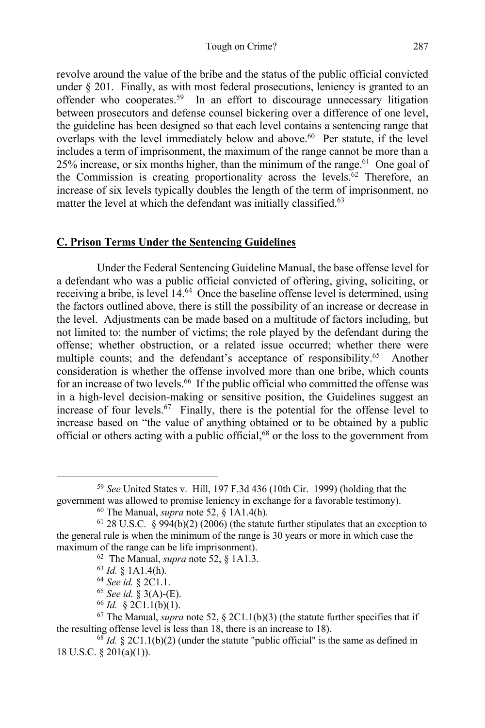revolve around the value of the bribe and the status of the public official convicted under  $\S 201$ . Finally, as with most federal prosecutions, leniency is granted to an offender who cooperates.59 In an effort to discourage unnecessary litigation between prosecutors and defense counsel bickering over a difference of one level, the guideline has been designed so that each level contains a sentencing range that overlaps with the level immediately below and above. 60 Per statute, if the level includes a term of imprisonment, the maximum of the range cannot be more than a  $25\%$  increase, or six months higher, than the minimum of the range.<sup>61</sup> One goal of the Commission is creating proportionality across the levels. <sup>62</sup> Therefore, an increase of six levels typically doubles the length of the term of imprisonment, no matter the level at which the defendant was initially classified.<sup>63</sup>

# **C. Prison Terms Under the Sentencing Guidelines**

Under the Federal Sentencing Guideline Manual, the base offense level for a defendant who was a public official convicted of offering, giving, soliciting, or receiving a bribe, is level 14.<sup>64</sup> Once the baseline offense level is determined, using the factors outlined above, there is still the possibility of an increase or decrease in the level. Adjustments can be made based on a multitude of factors including, but not limited to: the number of victims; the role played by the defendant during the offense; whether obstruction, or a related issue occurred; whether there were multiple counts; and the defendant's acceptance of responsibility.<sup>65</sup> Another consideration is whether the offense involved more than one bribe, which counts for an increase of two levels.<sup>66</sup> If the public official who committed the offense was in a high-level decision-making or sensitive position, the Guidelines suggest an increase of four levels.<sup>67</sup> Finally, there is the potential for the offense level to increase based on "the value of anything obtained or to be obtained by a public official or others acting with a public official, <sup>68</sup> or the loss to the government from

<sup>59</sup> *See* United States v. Hill, 197 F.3d 436 (10th Cir. 1999) (holding that the government was allowed to promise leniency in exchange for a favorable testimony). 60 The Manual, *supra* note 52, § 1A1.4(h).

 $61$  28 U.S.C. § 994(b)(2) (2006) (the statute further stipulates that an exception to the general rule is when the minimum of the range is 30 years or more in which case the maximum of the range can be life imprisonment).

<sup>62</sup> The Manual, *supra* note 52, § 1A1.3.

<sup>63</sup> *Id.* § 1A1.4(h).

<sup>64</sup> *See id.* § 2C1.1. 65 *See id.* § 3(A)-(E).

<sup>66</sup> *Id.* § 2C1.1(b)(1).

 $67$  The Manual, *supra* note 52, § 2C1.1(b)(3) (the statute further specifies that if the resulting offense level is less than 18, there is an increase to 18).<br><sup>68</sup> *Id.* § 2C1.1(b)(2) (under the statute "public official" is the same as defined in

<sup>18</sup> U.S.C. § 201(a)(1)).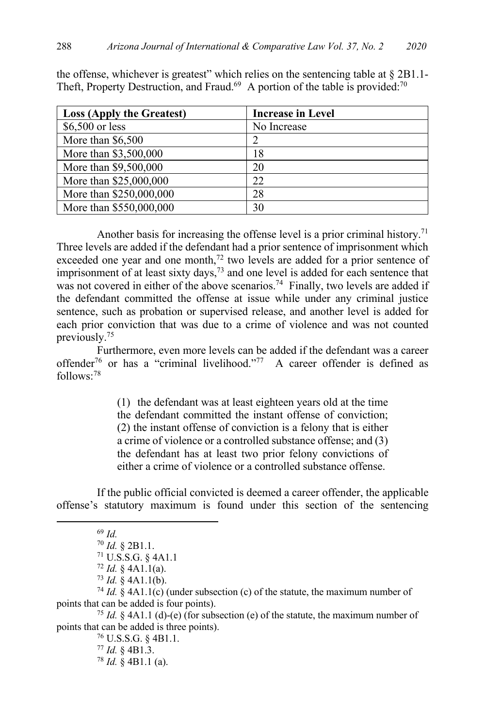| <b>Loss (Apply the Greatest)</b> | <b>Increase in Level</b> |
|----------------------------------|--------------------------|
| $$6,500$ or less                 | No Increase              |
| More than \$6,500                |                          |
| More than \$3,500,000            | 18                       |
| More than \$9,500,000            | 20                       |
| More than \$25,000,000           | 22                       |
| More than \$250,000,000          | 28                       |
| More than \$550,000,000          | 30                       |

the offense, whichever is greatest" which relies on the sentencing table at  $\S 2B1.1-$ Theft, Property Destruction, and Fraud.<sup>69</sup> A portion of the table is provided:<sup>70</sup>

Another basis for increasing the offense level is a prior criminal history.<sup>71</sup> Three levels are added if the defendant had a prior sentence of imprisonment which exceeded one year and one month,<sup>72</sup> two levels are added for a prior sentence of imprisonment of at least sixty days,<sup>73</sup> and one level is added for each sentence that was not covered in either of the above scenarios.<sup>74</sup> Finally, two levels are added if the defendant committed the offense at issue while under any criminal justice sentence, such as probation or supervised release, and another level is added for each prior conviction that was due to a crime of violence and was not counted previously.75

Furthermore, even more levels can be added if the defendant was a career offender<sup>76</sup> or has a "criminal livelihood."<sup>77</sup> A career offender is defined as follows: 78

> (1) the defendant was at least eighteen years old at the time the defendant committed the instant offense of conviction; (2) the instant offense of conviction is a felony that is either a crime of violence or a controlled substance offense; and (3) the defendant has at least two prior felony convictions of either a crime of violence or a controlled substance offense.

If the public official convicted is deemed a career offender, the applicable offense's statutory maximum is found under this section of the sentencing

<sup>74</sup> *Id.* § 4A1.1(c) (under subsection (c) of the statute, the maximum number of points that can be added is four points).

<sup>75</sup> *Id.* § 4A1.1 (d)-(e) (for subsection (e) of the statute, the maximum number of points that can be added is three points).

> <sup>76</sup> U.S.S.G. § 4B1.1. <sup>77</sup> *Id.* § 4B1.3. <sup>78</sup> *Id.* § 4B1.1 (a).

<sup>69</sup> *Id.*

<sup>70</sup> *Id.* § 2B1.1.

<sup>71</sup> U.S.S.G. § 4A1.1

 $72$  *Id.* § 4A1.1(a).<br> $73$  *Id.* § 4A1.1(b).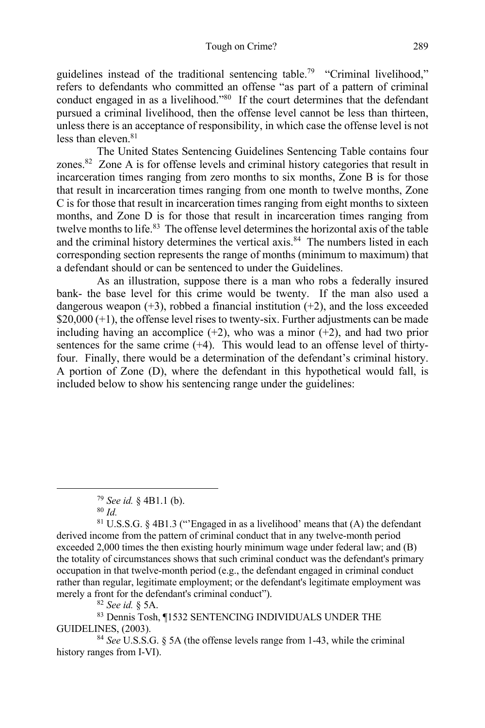guidelines instead of the traditional sentencing table.79 "Criminal livelihood," refers to defendants who committed an offense "as part of a pattern of criminal conduct engaged in as a livelihood."80 If the court determines that the defendant pursued a criminal livelihood, then the offense level cannot be less than thirteen, unless there is an acceptance of responsibility, in which case the offense level is not less than eleven. 81

The United States Sentencing Guidelines Sentencing Table contains four zones. $82$  Zone A is for offense levels and criminal history categories that result in incarceration times ranging from zero months to six months, Zone B is for those that result in incarceration times ranging from one month to twelve months, Zone C is for those that result in incarceration times ranging from eight months to sixteen months, and Zone D is for those that result in incarceration times ranging from twelve months to life.<sup>83</sup> The offense level determines the horizontal axis of the table and the criminal history determines the vertical axis.<sup>84</sup> The numbers listed in each corresponding section represents the range of months (minimum to maximum) that a defendant should or can be sentenced to under the Guidelines.

As an illustration, suppose there is a man who robs a federally insured bank- the base level for this crime would be twenty. If the man also used a dangerous weapon  $(+3)$ , robbed a financial institution  $(+2)$ , and the loss exceeded  $$20,000 (+1)$ , the offense level rises to twenty-six. Further adjustments can be made including having an accomplice  $(+2)$ , who was a minor  $(+2)$ , and had two prior sentences for the same crime (+4). This would lead to an offense level of thirtyfour. Finally, there would be a determination of the defendant's criminal history. A portion of Zone (D), where the defendant in this hypothetical would fall, is included below to show his sentencing range under the guidelines:

<sup>82</sup> *See id.* § 5A.

<sup>83</sup> Dennis Tosh, ¶1532 SENTENCING INDIVIDUALS UNDER THE GUIDELINES, (2003). 84 *See* U.S.S.G. § 5A (the offense levels range from 1-43, while the criminal

history ranges from I-VI).

<sup>79</sup> *See id.* § 4B1.1 (b).

<sup>80</sup> *Id.*

<sup>81</sup> U.S.S.G. § 4B1.3 ("'Engaged in as a livelihood' means that (A) the defendant derived income from the pattern of criminal conduct that in any twelve-month period exceeded 2,000 times the then existing hourly minimum wage under federal law; and (B) the totality of circumstances shows that such criminal conduct was the defendant's primary occupation in that twelve-month period (e.g., the defendant engaged in criminal conduct rather than regular, legitimate employment; or the defendant's legitimate employment was merely a front for the defendant's criminal conduct").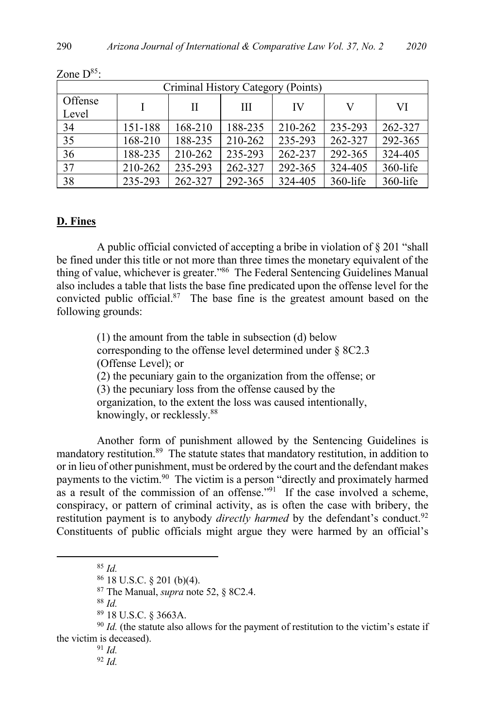| Criminal History Category (Points) |         |         |         |         |             |          |  |  |
|------------------------------------|---------|---------|---------|---------|-------------|----------|--|--|
| Offense<br>Level                   |         | Н       | Ш       | IV      | V           | VI       |  |  |
| 34                                 | 151-188 | 168-210 | 188-235 | 210-262 | 235-293     | 262-327  |  |  |
| 35                                 | 168-210 | 188-235 | 210-262 | 235-293 | 262-327     | 292-365  |  |  |
| 36                                 | 188-235 | 210-262 | 235-293 | 262-237 | 292-365     | 324-405  |  |  |
| 37                                 | 210-262 | 235-293 | 262-327 | 292-365 | 324-405     | 360-life |  |  |
| 38                                 | 235-293 | 262-327 | 292-365 | 324-405 | $360$ -life | 360-life |  |  |

Zone  $D^{85}$ :

# **D. Fines**

A public official convicted of accepting a bribe in violation of § 201 "shall be fined under this title or not more than three times the monetary equivalent of the thing of value, whichever is greater."86 The Federal Sentencing Guidelines Manual also includes a table that lists the base fine predicated upon the offense level for the convicted public official.<sup>87</sup> The base fine is the greatest amount based on the following grounds:

> (1) the amount from the table in subsection (d) below corresponding to the offense level determined under § 8C2.3 (Offense Level); or (2) the pecuniary gain to the organization from the offense; or (3) the pecuniary loss from the offense caused by the organization, to the extent the loss was caused intentionally, knowingly, or recklessly.88

Another form of punishment allowed by the Sentencing Guidelines is mandatory restitution.<sup>89</sup> The statute states that mandatory restitution, in addition to or in lieu of other punishment, must be ordered by the court and the defendant makes payments to the victim.90 The victim is a person "directly and proximately harmed as a result of the commission of an offense."91 If the case involved a scheme, conspiracy, or pattern of criminal activity, as is often the case with bribery, the restitution payment is to anybody *directly harmed* by the defendant's conduct.<sup>92</sup> Constituents of public officials might argue they were harmed by an official's

<sup>86</sup> 18 U.S.C. § 201 (b)(4). 87 The Manual, *supra* note 52, § 8C2.4. 88 *Id.*

<sup>89</sup> 18 U.S.C. § 3663A.  $90$  *Id.* (the statute also allows for the payment of restitution to the victim's estate if the victim is deceased).

<sup>91</sup> *Id.* <sup>92</sup> *Id.*

<sup>85</sup> *Id.*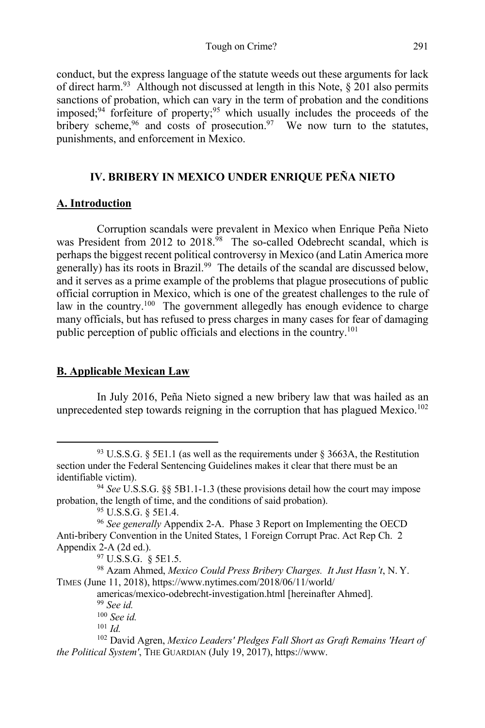conduct, but the express language of the statute weeds out these arguments for lack of direct harm.<sup>93</sup> Although not discussed at length in this Note,  $\S 201$  also permits sanctions of probation, which can vary in the term of probation and the conditions imposed; <sup>94</sup> forfeiture of property; <sup>95</sup> which usually includes the proceeds of the bribery scheme,<sup>96</sup> and costs of prosecution.<sup>97</sup> We now turn to the statutes, punishments, and enforcement in Mexico.

# **IV. BRIBERY IN MEXICO UNDER ENRIQUE PEÑA NIETO**

# **A. Introduction**

Corruption scandals were prevalent in Mexico when Enrique Peña Nieto was President from 2012 to 2018.<sup>98</sup> The so-called Odebrecht scandal, which is perhaps the biggest recent political controversy in Mexico (and Latin America more generally) has its roots in Brazil.<sup>99</sup> The details of the scandal are discussed below, and it serves as a prime example of the problems that plague prosecutions of public official corruption in Mexico, which is one of the greatest challenges to the rule of law in the country.<sup>100</sup> The government allegedly has enough evidence to charge many officials, but has refused to press charges in many cases for fear of damaging public perception of public officials and elections in the country.<sup>101</sup>

# **B. Applicable Mexican Law**

In July 2016, Peña Nieto signed a new bribery law that was hailed as an unprecedented step towards reigning in the corruption that has plagued Mexico.<sup>102</sup>

 $93$  U.S.S.G. § 5E1.1 (as well as the requirements under § 3663A, the Restitution section under the Federal Sentencing Guidelines makes it clear that there must be an identifiable victim).

<sup>94</sup> *See* U.S.S.G. §§ 5B1.1-1.3 (these provisions detail how the court may impose probation, the length of time, and the conditions of said probation).

<sup>95</sup> U.S.S.G. § 5E1.4.

<sup>96</sup> *See generally* Appendix 2-A. Phase 3 Report on Implementing the OECD Anti-bribery Convention in the United States, 1 Foreign Corrupt Prac. Act Rep Ch. 2 Appendix 2-A (2d ed.).

<sup>97</sup> U.S.S.G. § 5E1.5.

<sup>98</sup> Azam Ahmed, *Mexico Could Press Bribery Charges. It Just Hasn't*, N. Y. TIMES (June 11, 2018), https://www.nytimes.com/2018/06/11/world/

americas/mexico-odebrecht-investigation.html [hereinafter Ahmed]. 99 *See id.*

<sup>100</sup> *See id.*

<sup>101</sup> *Id.*

<sup>102</sup> David Agren, *Mexico Leaders' Pledges Fall Short as Graft Remains 'Heart of the Political System'*, THE GUARDIAN (July 19, 2017), https://www.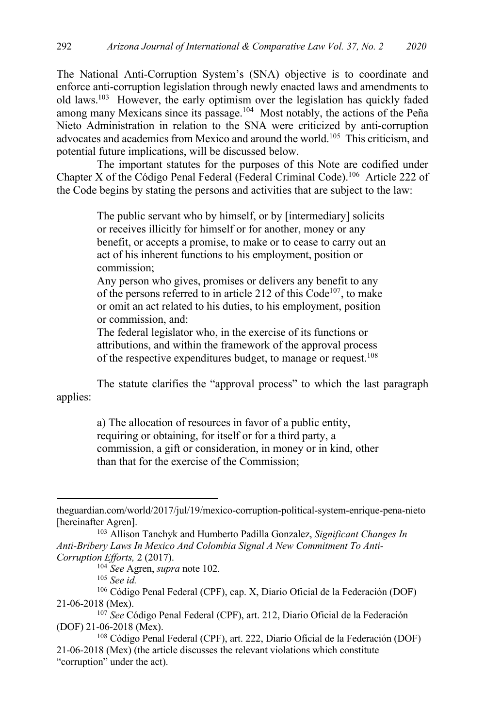The National Anti-Corruption System's (SNA) objective is to coordinate and enforce anti-corruption legislation through newly enacted laws and amendments to old laws.103 However, the early optimism over the legislation has quickly faded among many Mexicans since its passage.104 Most notably, the actions of the Peña Nieto Administration in relation to the SNA were criticized by anti-corruption advocates and academics from Mexico and around the world.105 This criticism, and potential future implications, will be discussed below.

The important statutes for the purposes of this Note are codified under Chapter X of the Código Penal Federal (Federal Criminal Code).<sup>106</sup> Article 222 of the Code begins by stating the persons and activities that are subject to the law:

> The public servant who by himself, or by [intermediary] solicits or receives illicitly for himself or for another, money or any benefit, or accepts a promise, to make or to cease to carry out an act of his inherent functions to his employment, position or commission;

Any person who gives, promises or delivers any benefit to any of the persons referred to in article 212 of this  $Code<sup>107</sup>$ , to make or omit an act related to his duties, to his employment, position or commission, and:

The federal legislator who, in the exercise of its functions or attributions, and within the framework of the approval process of the respective expenditures budget, to manage or request.<sup>108</sup>

The statute clarifies the "approval process" to which the last paragraph applies:

> a) The allocation of resources in favor of a public entity, requiring or obtaining, for itself or for a third party, a commission, a gift or consideration, in money or in kind, other than that for the exercise of the Commission;

<sup>106</sup> Código Penal Federal (CPF), cap. X, Diario Oficial de la Federación (DOF) 21-06-2018 (Mex).

theguardian.com/world/2017/jul/19/mexico-corruption-political-system-enrique-pena-nieto

<sup>[</sup>hereinafter Agren]. 103 Allison Tanchyk and Humberto Padilla Gonzalez, *Significant Changes In Anti-Bribery Laws In Mexico And Colombia Signal A New Commitment To Anti-Corruption Efforts,* 2 (2017).

<sup>104</sup> *See* Agren, *supra* note 102.

<sup>105</sup> *See id.* 

<sup>107</sup> *See* Código Penal Federal (CPF), art. 212, Diario Oficial de la Federación (DOF) 21-06-2018 (Mex). 108 Código Penal Federal (CPF), art. 222, Diario Oficial de la Federación (DOF)

<sup>21-06-2018 (</sup>Mex) (the article discusses the relevant violations which constitute "corruption" under the act).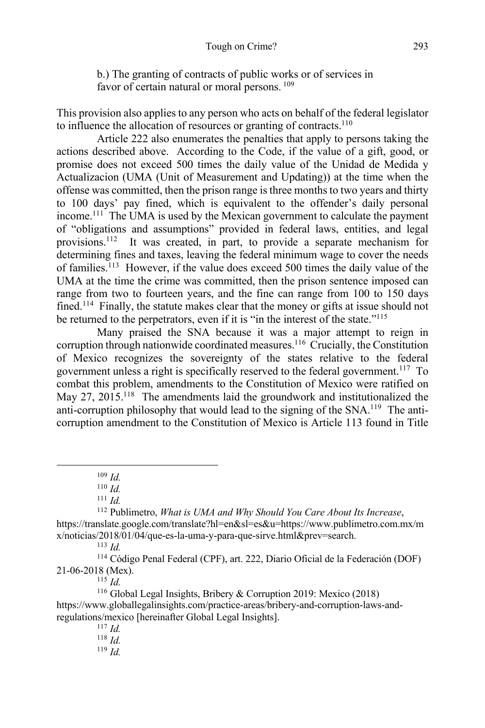b.) The granting of contracts of public works or of services in favor of certain natural or moral persons.  $^{109}$ 

This provision also applies to any person who acts on behalf of the federal legislator to influence the allocation of resources or granting of contracts.110

Article 222 also enumerates the penalties that apply to persons taking the actions described above. According to the Code, if the value of a gift, good, or promise does not exceed 500 times the daily value of the Unidad de Medida y Actualizacion (UMA (Unit of Measurement and Updating)) at the time when the offense was committed, then the prison range is three months to two years and thirty to 100 days' pay fined, which is equivalent to the offender's daily personal income.<sup>111</sup> The UMA is used by the Mexican government to calculate the payment of "obligations and assumptions" provided in federal laws, entities, and legal provisions.112 It was created, in part, to provide a separate mechanism for determining fines and taxes, leaving the federal minimum wage to cover the needs of families.113 However, if the value does exceed 500 times the daily value of the UMA at the time the crime was committed, then the prison sentence imposed can range from two to fourteen years, and the fine can range from 100 to 150 days fined.<sup>114</sup> Finally, the statute makes clear that the money or gifts at issue should not be returned to the perpetrators, even if it is "in the interest of the state."<sup>115</sup>

Many praised the SNA because it was a major attempt to reign in corruption through nationwide coordinated measures.<sup>116</sup> Crucially, the Constitution of Mexico recognizes the sovereignty of the states relative to the federal government unless a right is specifically reserved to the federal government.<sup>117</sup> To combat this problem, amendments to the Constitution of Mexico were ratified on May 27, 2015.<sup>118</sup> The amendments laid the groundwork and institutionalized the anti-corruption philosophy that would lead to the signing of the  $SNA$ <sup>119</sup>. The anticorruption amendment to the Constitution of Mexico is Article 113 found in Title

<sup>112</sup> Publimetro, *What is UMA and Why Should You Care About Its Increase*, https://translate.google.com/translate?hl=en&sl=es&u=https://www.publimetro.com.mx/m x/noticias/2018/01/04/que-es-la-uma-y-para-que-sirve.html&prev=search.

 $113$  *Id.* 

<sup>114</sup> Código Penal Federal (CPF), art. 222, Diario Oficial de la Federación (DOF) 21-06-2018 (Mex).

 $^{115}$  *Id.* 

<sup>116</sup> Global Legal Insights, Bribery & Corruption 2019: Mexico (2018) https://www.globallegalinsights.com/practice-areas/bribery-and-corruption-laws-andregulations/mexico [hereinafter Global Legal Insights]. 117 *Id.* 

<sup>109</sup> *Id.*

 $110$  *Id.* 

 $111$  *Id.* 

<sup>118</sup> *Id.*

<sup>119</sup> *Id.*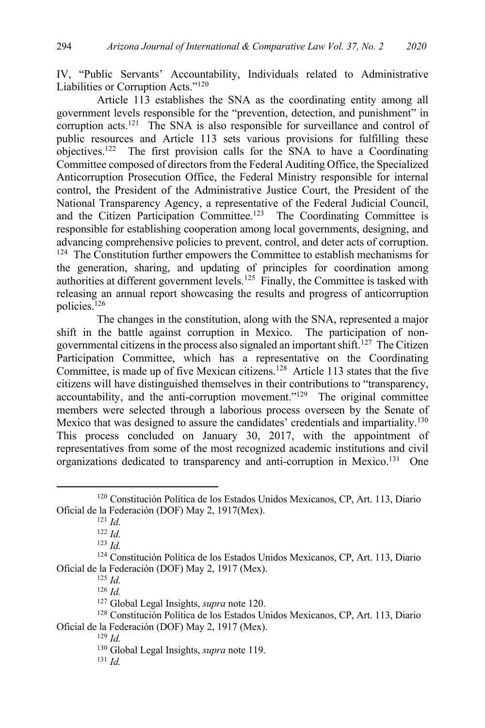IV, "Public Servants' Accountability, Individuals related to Administrative Liabilities or Corruption Acts."120

Article 113 establishes the SNA as the coordinating entity among all government levels responsible for the "prevention, detection, and punishment" in corruption acts.<sup>121</sup> The SNA is also responsible for surveillance and control of public resources and Article 113 sets various provisions for fulfilling these objectives.<sup>122</sup> The first provision calls for the SNA to have a Coordinating Committee composed of directors from the Federal Auditing Office, the Specialized Anticorruption Prosecution Office, the Federal Ministry responsible for internal control, the President of the Administrative Justice Court, the President of the National Transparency Agency, a representative of the Federal Judicial Council, and the Citizen Participation Committee.<sup>123</sup> The Coordinating Committee is responsible for establishing cooperation among local governments, designing, and advancing comprehensive policies to prevent, control, and deter acts of corruption. <sup>124</sup> The Constitution further empowers the Committee to establish mechanisms for the generation, sharing, and updating of principles for coordination among authorities at different government levels.<sup>125</sup> Finally, the Committee is tasked with releasing an annual report showcasing the results and progress of anticorruption policies.<sup>126</sup>

The changes in the constitution, along with the SNA, represented a major shift in the battle against corruption in Mexico. The participation of nongovernmental citizens in the process also signaled an important shift.127 The Citizen Participation Committee, which has a representative on the Coordinating Committee, is made up of five Mexican citizens.<sup>128</sup> Article 113 states that the five citizens will have distinguished themselves in their contributions to "transparency, accountability, and the anti-corruption movement." $129$  The original committee members were selected through a laborious process overseen by the Senate of Mexico that was designed to assure the candidates' credentials and impartiality.<sup>130</sup> This process concluded on January 30, 2017, with the appointment of representatives from some of the most recognized academic institutions and civil organizations dedicated to transparency and anti-corruption in Mexico.<sup>131</sup> One

<sup>125</sup> *Id.*

<sup>126</sup> *Id.*

<sup>131</sup> *Id.*

<sup>120</sup> Constitución Política de los Estados Unidos Mexicanos, CP, Art. 113, Diario Oficial de la Federación (DOF) May 2, 1917(Mex). 121 *Id.*

<sup>122</sup> *Id.*

<sup>123</sup> *Id.*

<sup>124</sup> Constitución Política de los Estados Unidos Mexicanos, CP, Art. 113, Diario Oficial de la Federación (DOF) May 2, 1917 (Mex).

<sup>127</sup> Global Legal Insights, *supra* note 120.

<sup>128</sup> Constitución Política de los Estados Unidos Mexicanos, CP, Art. 113, Diario Oficial de la Federación (DOF) May 2, 1917 (Mex).

<sup>129</sup> *Id.*

<sup>130</sup> Global Legal Insights, *supra* note 119.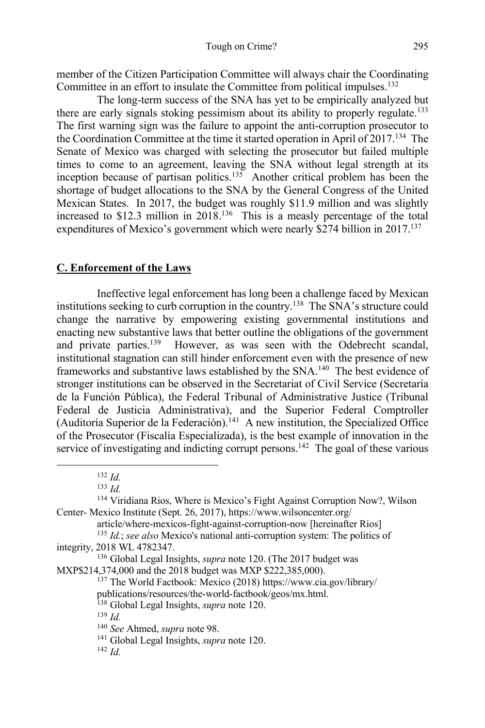member of the Citizen Participation Committee will always chair the Coordinating Committee in an effort to insulate the Committee from political impulses.<sup>132</sup>

The long-term success of the SNA has yet to be empirically analyzed but there are early signals stoking pessimism about its ability to properly regulate.133 The first warning sign was the failure to appoint the anti-corruption prosecutor to the Coordination Committee at the time it started operation in April of 2017.134 The Senate of Mexico was charged with selecting the prosecutor but failed multiple times to come to an agreement, leaving the SNA without legal strength at its inception because of partisan politics.<sup>135</sup> Another critical problem has been the shortage of budget allocations to the SNA by the General Congress of the United Mexican States. In 2017, the budget was roughly \$11.9 million and was slightly increased to  $$12.3$  million in  $2018$ <sup>136</sup> This is a measly percentage of the total expenditures of Mexico's government which were nearly \$274 billion in 2017.<sup>137</sup>

### **C. Enforcement of the Laws**

Ineffective legal enforcement has long been a challenge faced by Mexican institutions seeking to curb corruption in the country.138 The SNA's structure could change the narrative by empowering existing governmental institutions and enacting new substantive laws that better outline the obligations of the government and private parties.<sup>139</sup> However, as was seen with the Odebrecht scandal, institutional stagnation can still hinder enforcement even with the presence of new frameworks and substantive laws established by the SNA.140 The best evidence of stronger institutions can be observed in the Secretariat of Civil Service (Secretaría de la Función Pública), the Federal Tribunal of Administrative Justice (Tribunal Federal de Justicia Administrativa), and the Superior Federal Comptroller (Auditoría Superior de la Federación).<sup>141</sup> A new institution, the Specialized Office of the Prosecutor (Fiscalía Especializada), is the best example of innovation in the service of investigating and indicting corrupt persons.<sup>142</sup> The goal of these various

<sup>132</sup> *Id.*

<sup>139</sup> *Id.*

 $142$  *Id.* 

<sup>133</sup> *Id.*

<sup>134</sup> Viridiana Rios, Where is Mexico's Fight Against Corruption Now?, Wilson Center- Mexico Institute (Sept. 26, 2017), https://www.wilsoncenter.org/

article/where-mexicos-fight-against-corruption-now [hereinafter Rios] <sup>135</sup> *Id.*; *see also* Mexico's national anti-corruption system: The politics of integrity, 2018 WL 4782347.

<sup>136</sup> Global Legal Insights, *supra* note 120. (The 2017 budget was MXP\$214,374,000 and the 2018 budget was MXP \$222,385,000).

<sup>137</sup> The World Factbook: Mexico (2018) https://www.cia.gov/library/

publications/resources/the-world-factbook/geos/mx.html.

<sup>138</sup> Global Legal Insights, *supra* note 120.

<sup>140</sup> *See* Ahmed, *supra* note 98.

<sup>141</sup> Global Legal Insights, *supra* note 120.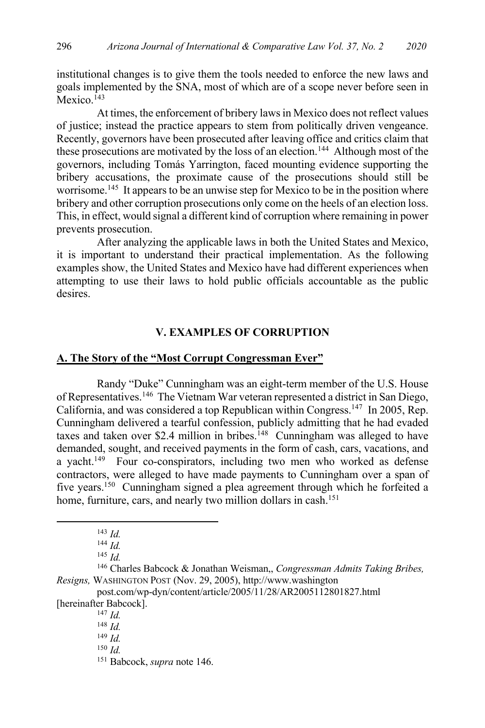institutional changes is to give them the tools needed to enforce the new laws and goals implemented by the SNA, most of which are of a scope never before seen in Mexico.<sup>143</sup>

At times, the enforcement of bribery laws in Mexico does not reflect values of justice; instead the practice appears to stem from politically driven vengeance. Recently, governors have been prosecuted after leaving office and critics claim that these prosecutions are motivated by the loss of an election.<sup>144</sup> Although most of the governors, including Tomás Yarrington, faced mounting evidence supporting the bribery accusations, the proximate cause of the prosecutions should still be worrisome.<sup>145</sup> It appears to be an unwise step for Mexico to be in the position where bribery and other corruption prosecutions only come on the heels of an election loss. This, in effect, would signal a different kind of corruption where remaining in power prevents prosecution.

After analyzing the applicable laws in both the United States and Mexico, it is important to understand their practical implementation. As the following examples show, the United States and Mexico have had different experiences when attempting to use their laws to hold public officials accountable as the public desires.

# **V. EXAMPLES OF CORRUPTION**

# **A. The Story of the "Most Corrupt Congressman Ever"**

Randy "Duke" Cunningham was an eight-term member of the U.S. House of Representatives.146 The Vietnam War veteran represented a district in San Diego, California, and was considered a top Republican within Congress.147 In 2005, Rep. Cunningham delivered a tearful confession, publicly admitting that he had evaded taxes and taken over \$2.4 million in bribes.<sup>148</sup> Cunningham was alleged to have demanded, sought, and received payments in the form of cash, cars, vacations, and a yacht.<sup>149</sup> Four co-conspirators, including two men who worked as defense contractors, were alleged to have made payments to Cunningham over a span of five years.150 Cunningham signed a plea agreement through which he forfeited a home, furniture, cars, and nearly two million dollars in cash.<sup>151</sup>

 $^{143}$  *Id.* 

<sup>144</sup> *Id.*

<sup>145</sup> *Id.*

<sup>146</sup> Charles Babcock & Jonathan Weisman,, *Congressman Admits Taking Bribes, Resigns,* WASHINGTON POST (Nov. 29, 2005), http://www.washington

post.com/wp-dyn/content/article/2005/11/28/AR2005112801827.html [hereinafter Babcock].

<sup>147</sup> *Id.*

<sup>148</sup> *Id.*

<sup>149</sup> *Id.*

<sup>150</sup> *Id.*

<sup>151</sup> Babcock, *supra* note 146.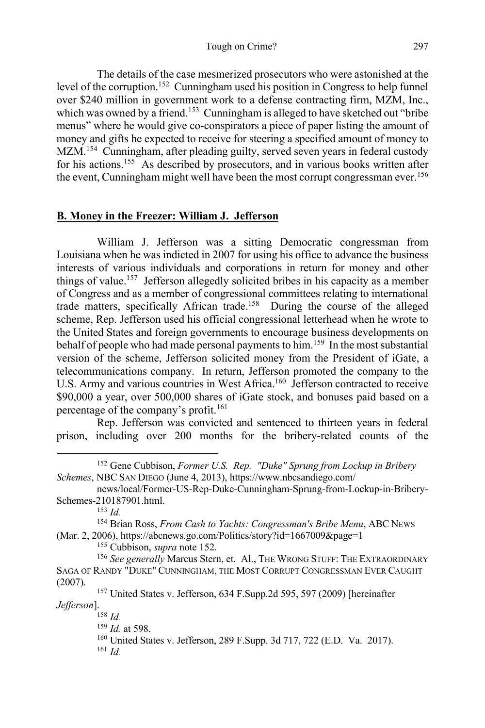The details of the case mesmerized prosecutors who were astonished at the level of the corruption.<sup>152</sup> Cunningham used his position in Congress to help funnel over \$240 million in government work to a defense contracting firm, MZM, Inc., which was owned by a friend.<sup>153</sup> Cunningham is alleged to have sketched out "bribe" menus" where he would give co-conspirators a piece of paper listing the amount of money and gifts he expected to receive for steering a specified amount of money to MZM.<sup>154</sup> Cunningham, after pleading guilty, served seven years in federal custody for his actions.<sup>155</sup> As described by prosecutors, and in various books written after the event, Cunningham might well have been the most corrupt congressman ever.<sup>156</sup>

# **B. Money in the Freezer: William J. Jefferson**

William J. Jefferson was a sitting Democratic congressman from Louisiana when he was indicted in 2007 for using his office to advance the business interests of various individuals and corporations in return for money and other things of value.157 Jefferson allegedly solicited bribes in his capacity as a member of Congress and as a member of congressional committees relating to international trade matters, specifically African trade.158 During the course of the alleged scheme, Rep. Jefferson used his official congressional letterhead when he wrote to the United States and foreign governments to encourage business developments on behalf of people who had made personal payments to him.<sup>159</sup> In the most substantial version of the scheme, Jefferson solicited money from the President of iGate, a telecommunications company. In return, Jefferson promoted the company to the U.S. Army and various countries in West Africa.<sup>160</sup> Jefferson contracted to receive \$90,000 a year, over 500,000 shares of iGate stock, and bonuses paid based on a percentage of the company's profit.<sup>161</sup>

Rep. Jefferson was convicted and sentenced to thirteen years in federal prison, including over 200 months for the bribery-related counts of the

<sup>153</sup> *Id.*

<sup>155</sup> Cubbison, *supra* note 152.

<sup>158</sup> *Id.*

<sup>152</sup> Gene Cubbison, *Former U.S. Rep. "Duke" Sprung from Lockup in Bribery Schemes*, NBC SAN DIEGO (June 4, 2013), https://www.nbcsandiego.com/

news/local/Former-US-Rep-Duke-Cunningham-Sprung-from-Lockup-in-Bribery-Schemes-210187901.html.

<sup>154</sup> Brian Ross, *From Cash to Yachts: Congressman's Bribe Menu*, ABC NEWS (Mar. 2, 2006), https://abcnews.go.com/Politics/story?id=1667009&page=1

<sup>156</sup> See generally Marcus Stern, et. Al., THE WRONG STUFF: THE EXTRAORDINARY SAGA OF RANDY "DUKE" CUNNINGHAM, THE MOST CORRUPT CONGRESSMAN EVER CAUGHT (2007). <sup>157</sup> United States v. Jefferson, 634 F.Supp.2d 595, 597 (2009) [hereinafter

*Jefferson*].

<sup>159</sup> *Id.* at 598.

<sup>160</sup> United States v. Jefferson, 289 F.Supp. 3d 717, 722 (E.D. Va. 2017). <sup>161</sup> *Id.*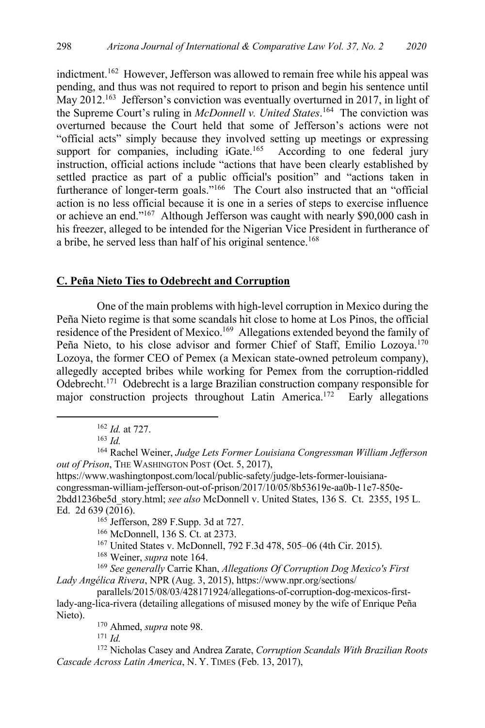indictment.162 However, Jefferson was allowed to remain free while his appeal was pending, and thus was not required to report to prison and begin his sentence until May 2012.<sup>163</sup> Jefferson's conviction was eventually overturned in 2017, in light of the Supreme Court's ruling in *McDonnell v. United States*. 164 The conviction was overturned because the Court held that some of Jefferson's actions were not "official acts" simply because they involved setting up meetings or expressing support for companies, including  $i$ Gate.<sup>165</sup> According to one federal jury instruction, official actions include "actions that have been clearly established by settled practice as part of a public official's position" and "actions taken in furtherance of longer-term goals."166 The Court also instructed that an "official action is no less official because it is one in a series of steps to exercise influence or achieve an end."167 Although Jefferson was caught with nearly \$90,000 cash in his freezer, alleged to be intended for the Nigerian Vice President in furtherance of a bribe, he served less than half of his original sentence.<sup>168</sup>

#### **C. Peña Nieto Ties to Odebrecht and Corruption**

One of the main problems with high-level corruption in Mexico during the Peña Nieto regime is that some scandals hit close to home at Los Pinos, the official residence of the President of Mexico.<sup>169</sup> Allegations extended beyond the family of Peña Nieto, to his close advisor and former Chief of Staff, Emilio Lozoya.<sup>170</sup> Lozoya, the former CEO of Pemex (a Mexican state-owned petroleum company), allegedly accepted bribes while working for Pemex from the corruption-riddled Odebrecht.171 Odebrecht is a large Brazilian construction company responsible for major construction projects throughout Latin America.<sup>172</sup> Early allegations

2bdd1236be5d\_story.html; *see also* McDonnell v. United States, 136 S. Ct. 2355, 195 L. Ed. 2d 639 (2016).<br><sup>165</sup> Jefferson, 289 F.Supp. 3d at 727.

<sup>166</sup> McDonnell, 136 S. Ct. at 2373.

<sup>167</sup> United States v. McDonnell, 792 F.3d 478, 505–06 (4th Cir. 2015).

<sup>168</sup> Weiner, *supra* note 164.

<sup>169</sup> *See generally* Carrie Khan, *Allegations Of Corruption Dog Mexico's First Lady Angélica Rivera*, NPR (Aug. 3, 2015), https://www.npr.org/sections/

parallels/2015/08/03/428171924/allegations-of-corruption-dog-mexicos-firstlady-ang-lica-rivera (detailing allegations of misused money by the wife of Enrique Peña Nieto).

<sup>170</sup> Ahmed, *supra* note 98.

<sup>171</sup> *Id.*

<sup>172</sup> Nicholas Casey and Andrea Zarate, *Corruption Scandals With Brazilian Roots Cascade Across Latin America*, N. Y. TIMES (Feb. 13, 2017),

<sup>162</sup> *Id.* at 727.

<sup>163</sup> *Id.*

<sup>164</sup> Rachel Weiner, *Judge Lets Former Louisiana Congressman William Jefferson out of Prison*, THE WASHINGTON POST (Oct. 5, 2017), https://www.washingtonpost.com/local/public-safety/judge-lets-former-louisianacongressman-william-jefferson-out-of-prison/2017/10/05/8b53619e-aa0b-11e7-850e-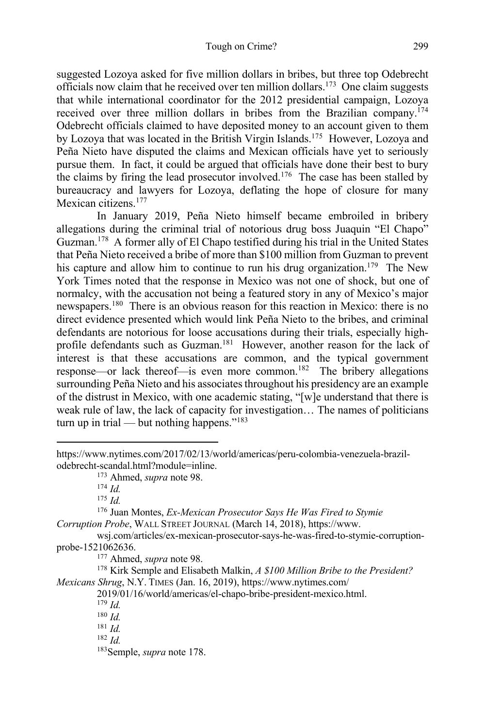suggested Lozoya asked for five million dollars in bribes, but three top Odebrecht officials now claim that he received over ten million dollars.173 One claim suggests that while international coordinator for the 2012 presidential campaign, Lozoya received over three million dollars in bribes from the Brazilian company.174 Odebrecht officials claimed to have deposited money to an account given to them by Lozoya that was located in the British Virgin Islands.<sup>175</sup> However, Lozoya and Peña Nieto have disputed the claims and Mexican officials have yet to seriously pursue them. In fact, it could be argued that officials have done their best to bury the claims by firing the lead prosecutor involved.176 The case has been stalled by bureaucracy and lawyers for Lozoya, deflating the hope of closure for many Mexican citizens.<sup>177</sup>

In January 2019, Peña Nieto himself became embroiled in bribery allegations during the criminal trial of notorious drug boss Juaquin "El Chapo" Guzman.178 A former ally of El Chapo testified during his trial in the United States that Peña Nieto received a bribe of more than \$100 million from Guzman to prevent his capture and allow him to continue to run his drug organization.<sup>179</sup> The New York Times noted that the response in Mexico was not one of shock, but one of normalcy, with the accusation not being a featured story in any of Mexico's major newspapers.180 There is an obvious reason for this reaction in Mexico: there is no direct evidence presented which would link Peña Nieto to the bribes, and criminal defendants are notorious for loose accusations during their trials, especially highprofile defendants such as Guzman.<sup>181</sup> However, another reason for the lack of interest is that these accusations are common, and the typical government response—or lack thereof—is even more common.182 The bribery allegations surrounding Peña Nieto and his associates throughout his presidency are an example of the distrust in Mexico, with one academic stating, "[w]e understand that there is weak rule of law, the lack of capacity for investigation… The names of politicians turn up in trial — but nothing happens."<sup>183</sup>

<sup>175</sup> *Id.*

<sup>176</sup> Juan Montes, *Ex-Mexican Prosecutor Says He Was Fired to Stymie Corruption Probe*, WALL STREET JOURNAL (March 14, 2018), https://www.

wsj.com/articles/ex-mexican-prosecutor-says-he-was-fired-to-stymie-corruptionprobe-1521062636.

<sup>177</sup> Ahmed, *supra* note 98.

<sup>178</sup> Kirk Semple and Elisabeth Malkin, *A \$100 Million Bribe to the President? Mexicans Shrug*, N.Y. TIMES (Jan. 16, 2019), https://www.nytimes.com/

2019/01/16/world/americas/el-chapo-bribe-president-mexico.html.

 $179$  *Id.* 

 $180$  *Id.* 

 $181$  *Id.* 

 $182$  *Id.* 

183Semple, *supra* note 178.

https://www.nytimes.com/2017/02/13/world/americas/peru-colombia-venezuela-brazilodebrecht-scandal.html?module=inline.

<sup>173</sup> Ahmed, *supra* note 98.

<sup>174</sup> *Id.*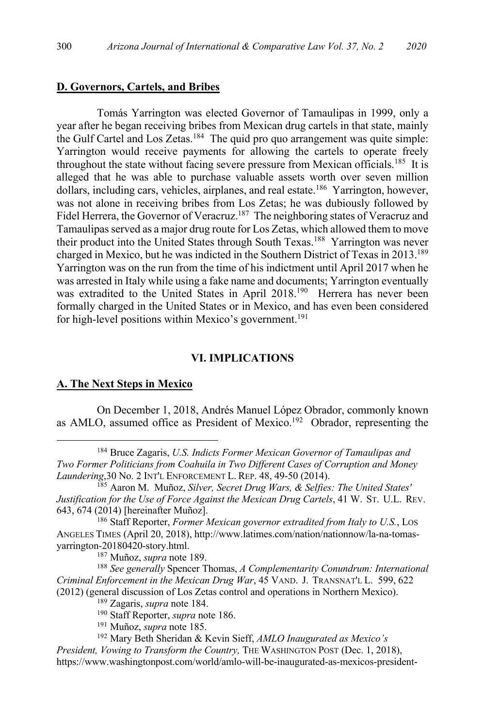#### **D. Governors, Cartels, and Bribes**

Tomás Yarrington was elected Governor of Tamaulipas in 1999, only a year after he began receiving bribes from Mexican drug cartels in that state, mainly the Gulf Cartel and Los Zetas.<sup>184</sup> The quid pro quo arrangement was quite simple: Yarrington would receive payments for allowing the cartels to operate freely throughout the state without facing severe pressure from Mexican officials.<sup>185</sup> It is alleged that he was able to purchase valuable assets worth over seven million dollars, including cars, vehicles, airplanes, and real estate.<sup>186</sup> Yarrington, however, was not alone in receiving bribes from Los Zetas; he was dubiously followed by Fidel Herrera, the Governor of Veracruz.<sup>187</sup> The neighboring states of Veracruz and Tamaulipas served as a major drug route for Los Zetas, which allowed them to move their product into the United States through South Texas.<sup>188</sup> Yarrington was never charged in Mexico, but he was indicted in the Southern District of Texas in 2013.<sup>189</sup> Yarrington was on the run from the time of his indictment until April 2017 when he was arrested in Italy while using a fake name and documents; Yarrington eventually was extradited to the United States in April 2018.<sup>190</sup> Herrera has never been formally charged in the United States or in Mexico, and has even been considered for high-level positions within Mexico's government.<sup>191</sup>

#### **VI. IMPLICATIONS**

# **A. The Next Steps in Mexico**

On December 1, 2018, Andrés Manuel López Obrador, commonly known as AMLO, assumed office as President of Mexico.192 Obrador, representing the

<sup>187</sup> Muñoz, *supra* note 189.

<sup>188</sup> *See generally* Spencer Thomas, *A Complementarity Conundrum: International Criminal Enforcement in the Mexican Drug War*, 45 VAND. J. TRANSNAT'L L. 599, 622 (2012) (general discussion of Los Zetas control and operations in Northern Mexico). 189 Zagaris, *supra* note 184. 190 Staff Reporter, *supra* note 186.

<sup>191</sup> Muñoz, *supra* note 185.

*President, Vowing to Transform the Country, THE WASHINGTON POST (Dec. 1, 2018),* https://www.washingtonpost.com/world/amlo-will-be-inaugurated-as-mexicos-president-

<sup>184</sup> Bruce Zagaris, *U.S. Indicts Former Mexican Governor of Tamaulipas and Two Former Politicians from Coahuila in Two Different Cases of Corruption and Money Laundering*,30 No. 2 INT'L ENFORCEMENT L. REP. 48, 49-50 (2014).

<sup>185</sup> Aaron M. Muñoz, *Silver, Secret Drug Wars, & Selfies: The United States' Justification for the Use of Force Against the Mexican Drug Cartels*, 41 W. ST. U.L. REV. 643, 674 (2014) [hereinafter Muñoz]. 186 Staff Reporter, *Former Mexican governor extradited from Italy to U.S.*, LOS

ANGELES TIMES (April 20, 2018), http://www.latimes.com/nation/nationnow/la-na-tomasyarrington-20180420-story.html.

<sup>192</sup> Mary Beth Sheridan & Kevin Sieff, *AMLO Inaugurated as Mexico's*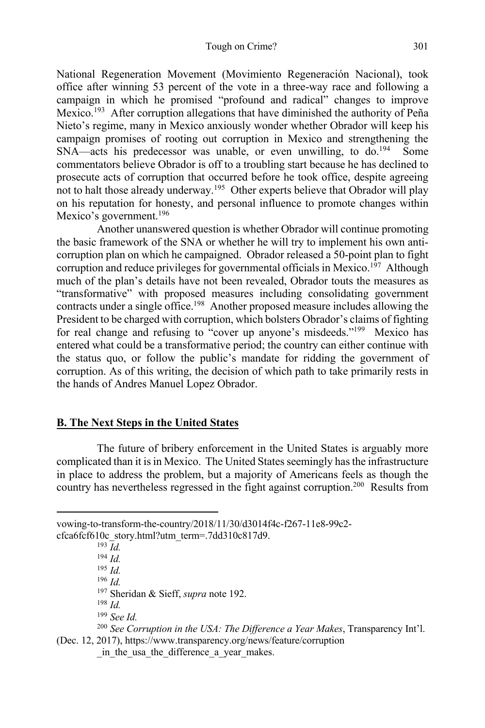National Regeneration Movement (Movimiento Regeneración Nacional), took office after winning 53 percent of the vote in a three-way race and following a campaign in which he promised "profound and radical" changes to improve Mexico.<sup>193</sup> After corruption allegations that have diminished the authority of Peña Nieto's regime, many in Mexico anxiously wonder whether Obrador will keep his campaign promises of rooting out corruption in Mexico and strengthening the  $SNA$ —acts his predecessor was unable, or even unwilling, to do.<sup>194</sup> Some commentators believe Obrador is off to a troubling start because he has declined to prosecute acts of corruption that occurred before he took office, despite agreeing not to halt those already underway.<sup>195</sup> Other experts believe that Obrador will play on his reputation for honesty, and personal influence to promote changes within Mexico's government.<sup>196</sup>

Another unanswered question is whether Obrador will continue promoting the basic framework of the SNA or whether he will try to implement his own anticorruption plan on which he campaigned. Obrador released a 50-point plan to fight corruption and reduce privileges for governmental officials in Mexico.<sup>197</sup> Although much of the plan's details have not been revealed, Obrador touts the measures as "transformative" with proposed measures including consolidating government contracts under a single office.<sup>198</sup> Another proposed measure includes allowing the President to be charged with corruption, which bolsters Obrador's claims of fighting for real change and refusing to "cover up anyone's misdeeds."<sup>199</sup> Mexico has entered what could be a transformative period; the country can either continue with the status quo, or follow the public's mandate for ridding the government of corruption. As of this writing, the decision of which path to take primarily rests in the hands of Andres Manuel Lopez Obrador.

# **B. The Next Steps in the United States**

The future of bribery enforcement in the United States is arguably more complicated than it is in Mexico. The United States seemingly has the infrastructure in place to address the problem, but a majority of Americans feels as though the country has nevertheless regressed in the fight against corruption.200 Results from

<sup>196</sup> *Id.*

<sup>197</sup> Sheridan & Sieff, *supra* note 192.

<sup>198</sup> *Id.*

<sup>199</sup> *See Id.*

(Dec. 12, 2017), https://www.transparency.org/news/feature/corruption in the usa the difference a year makes.

vowing-to-transform-the-country/2018/11/30/d3014f4c-f267-11e8-99c2 cfca6fcf610c\_story.html?utm\_term=.7dd310c817d9.

 $193 \overline{Id}$ .

<sup>194</sup> *Id.*

<sup>195</sup> *Id.*

<sup>200</sup> *See Corruption in the USA: The Difference a Year Makes*, Transparency Int'l.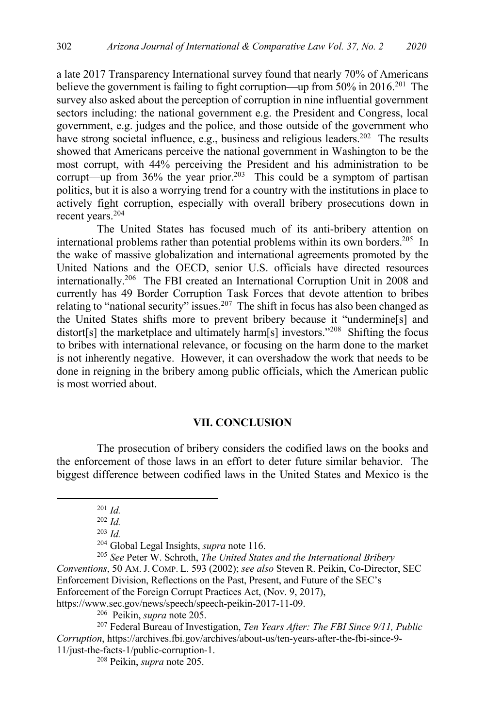a late 2017 Transparency International survey found that nearly 70% of Americans believe the government is failing to fight corruption—up from  $50\%$  in 2016.<sup>201</sup> The survey also asked about the perception of corruption in nine influential government sectors including: the national government e.g. the President and Congress, local government, e.g. judges and the police, and those outside of the government who have strong societal influence, e.g., business and religious leaders.<sup>202</sup> The results showed that Americans perceive the national government in Washington to be the most corrupt, with 44% perceiving the President and his administration to be corrupt—up from 36% the year prior.<sup>203</sup> This could be a symptom of partisan politics, but it is also a worrying trend for a country with the institutions in place to actively fight corruption, especially with overall bribery prosecutions down in recent years.204

The United States has focused much of its anti-bribery attention on international problems rather than potential problems within its own borders.205 In the wake of massive globalization and international agreements promoted by the United Nations and the OECD, senior U.S. officials have directed resources internationally.206 The FBI created an International Corruption Unit in 2008 and currently has 49 Border Corruption Task Forces that devote attention to bribes relating to "national security" issues.<sup>207</sup> The shift in focus has also been changed as the United States shifts more to prevent bribery because it "undermine[s] and distort[s] the marketplace and ultimately harm[s] investors."<sup>208</sup> Shifting the focus to bribes with international relevance, or focusing on the harm done to the market is not inherently negative. However, it can overshadow the work that needs to be done in reigning in the bribery among public officials, which the American public is most worried about.

#### **VII. CONCLUSION**

The prosecution of bribery considers the codified laws on the books and the enforcement of those laws in an effort to deter future similar behavior. The biggest difference between codified laws in the United States and Mexico is the

https://www.sec.gov/news/speech/speech-peikin-2017-11-09.

206 Peikin, *supra* note 205.

<sup>207</sup> Federal Bureau of Investigation, *Ten Years After: The FBI Since 9/11, Public Corruption*, https://archives.fbi.gov/archives/about-us/ten-years-after-the-fbi-since-9- 11/just-the-facts-1/public-corruption-1.

<sup>208</sup> Peikin, *supra* note 205.

 $201$  *Id.* 

<sup>202</sup> *Id.*

<sup>203</sup> *Id.*

<sup>204</sup> Global Legal Insights, *supra* note 116.

<sup>205</sup> *See* Peter W. Schroth, *The United States and the International Bribery Conventions*, 50 AM.J. COMP. L. 593 (2002); *see also* Steven R. Peikin, Co-Director, SEC Enforcement Division, Reflections on the Past, Present, and Future of the SEC's Enforcement of the Foreign Corrupt Practices Act, (Nov. 9, 2017),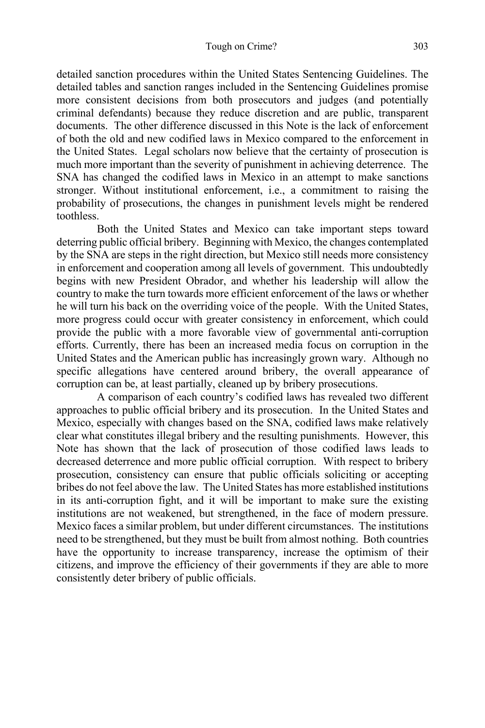detailed sanction procedures within the United States Sentencing Guidelines. The detailed tables and sanction ranges included in the Sentencing Guidelines promise more consistent decisions from both prosecutors and judges (and potentially criminal defendants) because they reduce discretion and are public, transparent documents. The other difference discussed in this Note is the lack of enforcement of both the old and new codified laws in Mexico compared to the enforcement in the United States. Legal scholars now believe that the certainty of prosecution is much more important than the severity of punishment in achieving deterrence. The SNA has changed the codified laws in Mexico in an attempt to make sanctions stronger. Without institutional enforcement, i.e., a commitment to raising the probability of prosecutions, the changes in punishment levels might be rendered toothless.

Both the United States and Mexico can take important steps toward deterring public official bribery. Beginning with Mexico, the changes contemplated by the SNA are steps in the right direction, but Mexico still needs more consistency in enforcement and cooperation among all levels of government. This undoubtedly begins with new President Obrador, and whether his leadership will allow the country to make the turn towards more efficient enforcement of the laws or whether he will turn his back on the overriding voice of the people. With the United States, more progress could occur with greater consistency in enforcement, which could provide the public with a more favorable view of governmental anti-corruption efforts. Currently, there has been an increased media focus on corruption in the United States and the American public has increasingly grown wary. Although no specific allegations have centered around bribery, the overall appearance of corruption can be, at least partially, cleaned up by bribery prosecutions.

A comparison of each country's codified laws has revealed two different approaches to public official bribery and its prosecution. In the United States and Mexico, especially with changes based on the SNA, codified laws make relatively clear what constitutes illegal bribery and the resulting punishments. However, this Note has shown that the lack of prosecution of those codified laws leads to decreased deterrence and more public official corruption. With respect to bribery prosecution, consistency can ensure that public officials soliciting or accepting bribes do not feel above the law. The United States has more established institutions in its anti-corruption fight, and it will be important to make sure the existing institutions are not weakened, but strengthened, in the face of modern pressure. Mexico faces a similar problem, but under different circumstances. The institutions need to be strengthened, but they must be built from almost nothing. Both countries have the opportunity to increase transparency, increase the optimism of their citizens, and improve the efficiency of their governments if they are able to more consistently deter bribery of public officials.